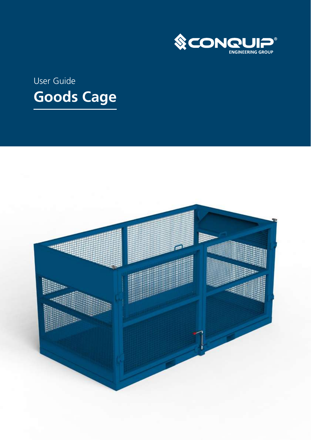

# User Guide **Goods Cage**

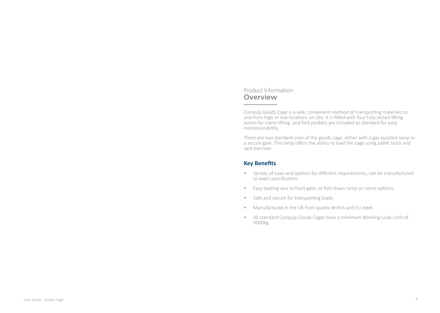#### Product Information **Overview**

Conquip Goods Cage is a safe, convenient method of transporting materials to and from high or low locations on site. It is fitted with four fully tested lifting points for crane lifting, and fork pockets are included as standard for easy manoeuvrability.

There are two standard sizes of the goods cage, either with a gas assisted ramp or a secure gate. The ramp offers the ability to load the cage using pallet truck and sack barrows.

### **Key Benefits**

- Variety of sizes and options for different requirements, can be manufactured to exact specification.
- Easy loading due to front gate, or fold down ramp on some options.
- Safe and secure for transporting loads.
- Manufactured in the UK from quality British and EU steel.
- All standard Conquip Goods Cages have a minimum Working Load Limit of 3000kg.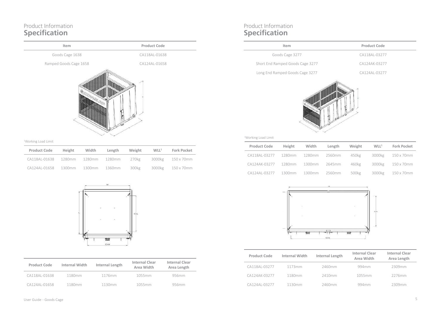### Product Information **Specification**



#### 1 Working Load Limit

| Product Code  | Height | Width  | Length | Weight | WLL <sup>1</sup> | <b>Fork Pocket</b> |
|---------------|--------|--------|--------|--------|------------------|--------------------|
| CA118AL-01638 | 1280mm | 1280mm | 1280mm | 270kg  | 3000kg           | 150 x 70mm         |
| CA124AI-01658 | 1300mm | 1300mm | 1360mm | 300kg  | 3000kg           | 150 x 70mm         |



| <b>Product Code</b> | Internal Width | Internal Length | <b>Internal Clear</b><br>Area Width | <b>Internal Clear</b><br>Area Length |
|---------------------|----------------|-----------------|-------------------------------------|--------------------------------------|
| CA118AL-01638       | 1180mm         | 1176mm          | 1055mm                              | 956mm                                |
| CA124AI-01658       | 1180mm         | 1130mm          | 1055mm                              | 956mm                                |

### Product Information **Specification**

| ltem.                            | Product Code  |
|----------------------------------|---------------|
| Goods Cage 3277                  | CA118AI-03277 |
| Short End Ramped Goods Cage 3277 | CA124AK-03277 |
| Long End Ramped Goods Cage 3277  | CA124AL-03277 |



#### 1 Working Load Limit

| <b>Product Code</b>         | Height | Width | Length | Weight | WLL <sup>1</sup> | <b>Fork Pocket</b> |
|-----------------------------|--------|-------|--------|--------|------------------|--------------------|
| CA118AL-03277 1280mm 1280mm |        |       | 2560mm | 450kg  |                  | 3000kg 150 x 70mm  |
| CA124AK-03277 1280mm 1300mm |        |       | 2645mm | 460kg  |                  | 3000kg 150 x 70mm  |
| CA124AL-03277 1300mm 1300mm |        |       | 2560mm | 500kg  |                  | 3000kg 150 x 70mm  |



| <b>Product Code</b> | Internal Width | Internal Length | Internal Clear<br>Area Width | Internal Clear<br>Area Length |
|---------------------|----------------|-----------------|------------------------------|-------------------------------|
| CA118AL-03277       | 1173mm         | 2460mm          | 994mm                        | 2309mm                        |
| CA124AK-03277       | 1180mm         | 2410mm          | 1055mm                       | 2276mm                        |
| CA124AI-03277       | 1130mm         | 2460mm          | 994mm                        | 2309mm                        |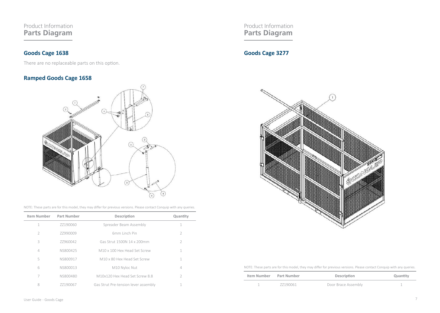### Product Information **Parts Diagram**

### **Goods Cage 1638**

There are no replaceable parts on this option.

### **Ramped Goods Cage 1658**



NOTE: These parts are for this model, they may differ for previous versions. Please contact Conquip with any queries.

| <b>Item Number</b> | Part Number | Description                          | Quantity      |
|--------------------|-------------|--------------------------------------|---------------|
| 1                  | 77190060    | Spreader Beam Assembly               |               |
| $\mathcal{P}$      | 77990009    | 6mm Linch Pin                        | $\mathcal{P}$ |
| 3                  | 77960042    | Gas Strut 1500N 14 x 200mm           | $\mathcal{P}$ |
| 4                  | NS800425    | M10 x 100 Hex Head Set Screw         | 1             |
| 5                  | NS800917    | M10 x 80 Hex Head Set Screw          | 1             |
| 6                  | NS800013    | M10 Nyloc Nut                        | 4             |
| 7                  | NS800480    | M10x120 Hex Head Set Screw 8.8       | $\mathcal{P}$ |
| 8                  | 77190067    | Gas Strut Pre-tension lever assembly |               |

Product Information **Parts Diagram**

## **Goods Cage 3277**



NOTE: These parts are for this model, they may differ for previous versions. Please contact Conquip with any queries.

| Item Number Part Number |          | Description         | Quantity |
|-------------------------|----------|---------------------|----------|
|                         | 77190061 | Door Brace Assembly |          |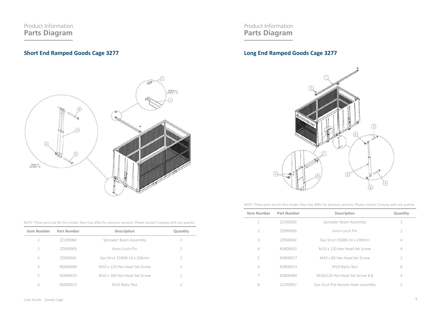### Product Information **Parts Diagram**

### **Short End Ramped Goods Cage 3277**



Product Information **Parts Diagram**

### **Long End Ramped Goods Cage 3277**



NOTE: These parts are for this model, they may differ for previous versions. Please contact Conquip with any queries.

| Item Number    | Part Number | Description                          | Quantity      |
|----------------|-------------|--------------------------------------|---------------|
| 1              | 77190059    | Spreader Beam Assembly               | 1             |
| $\mathcal{P}$  | 77990009    | 6mm Linch Pin                        | 2             |
| 3              | 77960042    | Gas Strut 1500N 14 x 200mm           | 4             |
| $\overline{4}$ | NS800425    | M10 x 120 Hex Head Set Screw         | 4             |
| 5              | NS800917    | M10 x 80 Hex Head Set Screw          | $\mathcal{P}$ |
| 6              | NS800013    | M10 Nyloc Nut                        | 8             |
| 7              | NS800480    | M10x120 Hex Head Set Screw 8.8       | 4             |
| 8              | 77190067    | Gas Strut Pre-tension lever assembly | $\mathcal{P}$ |

NOTE: These parts are for this model, they may differ for previous versions. Please contact Conquip with any queries.

| Item Number    | Part Number | Description                  | Quantity      |
|----------------|-------------|------------------------------|---------------|
|                | 77190060    | Spreader Beam Assembly       |               |
| $\mathcal{D}$  | 77990009    | 6mm Linch Pin                |               |
| 3              | 77960042    | Gas Strut 1500N 14 x 200mm   | $\mathcal{L}$ |
| $\overline{4}$ | NS800480    | M10 x 120 Hex Head Set Screw |               |
| 5              | NS800425    | M10 x 100 Hex Head Set Screw |               |
| 6              | NS800013    | M10 Nyloc Nut                |               |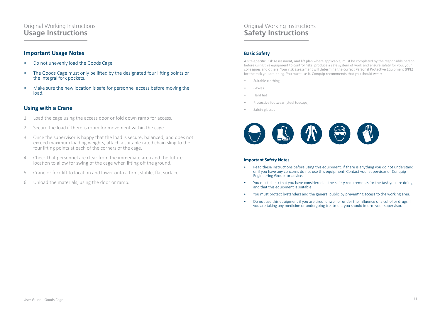### Original Working Instructions **Usage Instructions**

#### **Important Usage Notes**

- Do not unevenly load the Goods Cage.
- The Goods Cage must only be lifted by the designated four lifting points or the integral fork pockets.
- Make sure the new location is safe for personnel access before moving the load.

#### **Using with a Crane**

- 1. Load the cage using the access door or fold down ramp for access.
- 2. Secure the load if there is room for movement within the cage.
- 3. Once the supervisor is happy that the load is secure, balanced, and does not exceed maximum loading weights, attach a suitable rated chain sling to the four lifting points at each of the corners of the cage.
- 4. Check that personnel are clear from the immediate area and the future location to allow for swing of the cage when lifting off the ground.
- 5. Crane or fork lift to location and lower onto a firm, stable, flat surface.
- 6. Unload the materials, using the door or ramp.

### Original Working Instructions **Safety Instructions**

#### **Basic Safety**

A site-specific Risk Assessment, and lift plan where applicable, must be completed by the responsible person before using this equipment to control risks, produce a safe system of work and ensure safety for you, your colleagues and others. Your risk assessment will determine the correct Personal Protective Equipment (PPE) for the task you are doing. You must use it. Conquip recommends that you should wear:

- Suitable clothing
- Gloves
- Hard hat
- Protective footwear (steel toecaps)
- Safety glasses



#### **Important Safety Notes**

- Read these instructions before using this equipment. If there is anything you do not understand or if you have any concerns do not use this equipment. Contact your supervisor or Conquip Engineering Group for advice.
- You must check that you have considered all the safety requirements for the task you are doing and that this equipment is suitable.
- You must protect bystanders and the general public by preventing access to the working area.
- Do not use this equipment if you are tired, unwell or under the influence of alcohol or drugs. If you are taking any medicine or undergoing treatment you should inform your supervisor.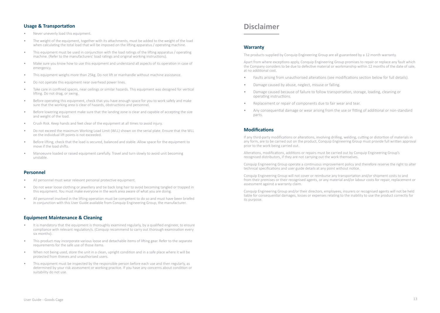- Never unevenly load this equipment.
- The weight of the equipment, together with its attachments, must be added to the weight of the load when calculating the total load that will be imposed on the lifting apparatus / operating machine.
- This equipment must be used in conjunction with the load ratings of the lifting apparatus / operating machine. (Refer to the manufacturers' load ratings and original working instructions).
- Make sure you know how to use this equipment and understand all aspects of its operation in case of emergency.
- This equipment weighs more than 25kg. Do not lift or manhandle without machine assistance.
- Do not operate this equipment near overhead power lines.
- Take care in confined spaces, near ceilings or similar hazards. This equipment was designed for vertical lifting. Do not drag, or swing.
- Before operating this equipment, check that you have enough space for you to work safely and make sure that the working area is clear of hazards, obstructions and personnel.
- Before lowering equipment make sure that the landing zone is clear and capable of accepting the size and weight of the load.
- Crush Risk. Keep hands and feet clear of the equipment at all times to avoid injury.
- Do not exceed the maximum Working Load Limit (WLL) shown on the serial plate. Ensure that the WLL on the individual lift points is not exceeded.
- Before lifting, check that the load is secured, balanced and stable. Allow space for the equipment to move if the load shifts.
- Manoeuvre loaded or raised equipment carefully. Travel and turn slowly to avoid unit becoming unstable.

#### **Personnel**

- All personnel must wear relevant personal protective equipment.
- Do not wear loose clothing or jewellery and tie back long hair to avoid becoming tangled or trapped in this equipment. You must make everyone in the work area aware of what you are doing.
- All personnel involved in the lifting operation must be competent to do so and must have been briefed in conjunction with this User Guide available from Conquip Engineering Group, the manufacturer.

#### **Equipment Maintenance & Cleaning**

- It is mandatory that the equipment is thoroughly examined regularly, by a qualified engineer, to ensure compliance with relevant regulation/s. (Conquip recommend to carry out thorough examination every six months).
- This product may incorporate various loose and detachable items of lifting gear. Refer to the separate requirements for the safe use of those items.
- When not being used, store the unit in a clean, upright condition and in a safe place where it will be protected from thieves and unauthorised users.
- This equipment must be inspected by the responsible person before each use and then regularly, as determined by your risk assessment or working practice. If you have any concerns about condition or suitability do not use.

### **Disclaimer**

#### **Warranty**

The products supplied by Conquip Engineering Group are all guaranteed by a 12 month warranty.

Apart from where exceptions apply, Conquip Engineering Group promises to repair or replace any fault which the Company considers to be due to defective material or workmanship within 12 months of the date of sale, at no additional cost.

- Faults arising from unauthorised alterations (see modifications section below for full details).
- Damage caused by abuse, neglect, misuse or falling.
- Damage caused because of failure to follow transportation, storage, loading, cleaning or operating instructions.
- Replacement or repair of components due to fair wear and tear.
- Any consequential damage or wear arising from the use or fitting of additional or non-standard parts.

#### **Modifications**

If any third-party modifications or alterations, involving drilling, welding, cutting or distortion of materials in any form, are to be carried out on the product, Conquip Engineering Group must provide full written approval prior to the work being carried out.

Alterations, modifications, additions or repairs must be carried out by Conquip Engineering Group's recognised distributors, if they are not carrying out the work themselves.

Conquip Engineering Group operate a continuous improvement policy and therefore reserve the right to alter technical specifications and user guide details at any point without notice.

Conquip Engineering Group will not cover or reimburse any transportation and/or shipment costs to and from their premises or their recognised agents, or any material and/or labour costs for repair, replacement or assessment against a warranty claim.

Conquip Engineering Group and/or their directors, employees, insurers or recognised agents will not be held liable for consequential damages, losses or expenses relating to the inability to use the product correctly for its purpose.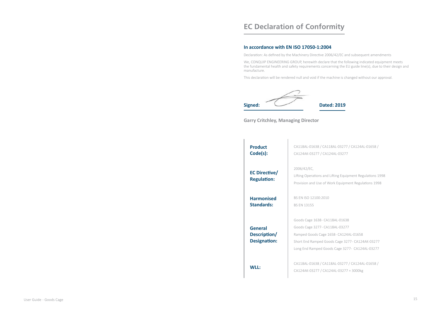# **EC Declaration of Conformity**

#### **In accordance with EN ISO 17050-1:2004**

Declaration: As defined by the Machinery Directive 2006/42/EC and subsequent amendments

We, CONQUIP ENGINEERING GROUP, herewith declare that the following indicated equipment meets the fundamental health and safety requirements concerning the EU guide line(s), due to their design and manufacture.

This declaration will be rendered null and void if the machine is changed without our approval.



#### **Garry Critchley, Managing Director**

| <b>Product</b><br>Code(s):                            | CA118AL-01638 / CA118AL-03277 / CA124AL-01658 /<br>CA124AK-03277 / CA124AL-03277                                                                                                                               |
|-------------------------------------------------------|----------------------------------------------------------------------------------------------------------------------------------------------------------------------------------------------------------------|
| <b>EC Directive/</b><br><b>Regulation:</b>            | 2006/42/EC,<br>Lifting Operations and Lifting Equipment Regulations 1998<br>Provision and Use of Work Equipment Regulations 1998                                                                               |
| <b>Harmonised</b><br>Standards:                       | BS FN ISO 12100:2010<br><b>BS FN 13155</b>                                                                                                                                                                     |
| <b>General</b><br>Description/<br><b>Designation:</b> | Goods Cage 1638- CA118AL-01638<br>Goods Cage 3277- CA118AL-03277<br>Ramped Goods Cage 1658- CA124AL-01658<br>Short End Ramped Goods Cage 3277- CA124AK-03277<br>Long End Ramped Goods Cage 3277- CA124AL-03277 |
| WII:                                                  | CA118AL-01638 / CA118AL-03277 / CA124AL-01658 /<br>CA124AK-03277 / CA124AL-03277 = 3000kg                                                                                                                      |